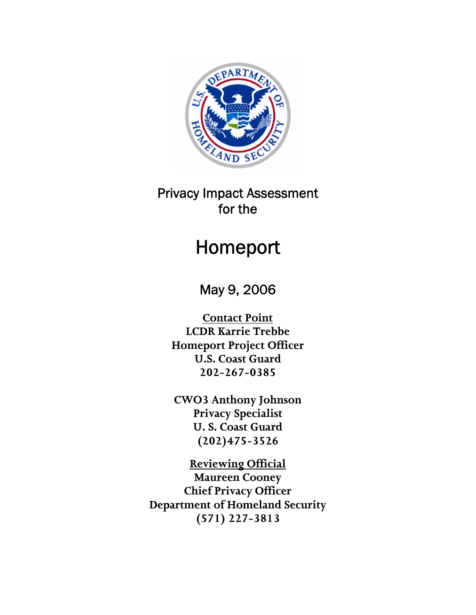

# Privacy Impact Assessment for the

# Homeport

May 9, 2006

**Contact Point LCDR Karrie Trebbe Homeport Project Officer U.S. Coast Guard 202-267-0385** 

**CWO3 Anthony Johnson Privacy Specialist U. S. Coast Guard (202)475-3526** 

**Reviewing Official Maureen Cooney Chief Privacy Officer Department of Homeland Security (571) 227-3813**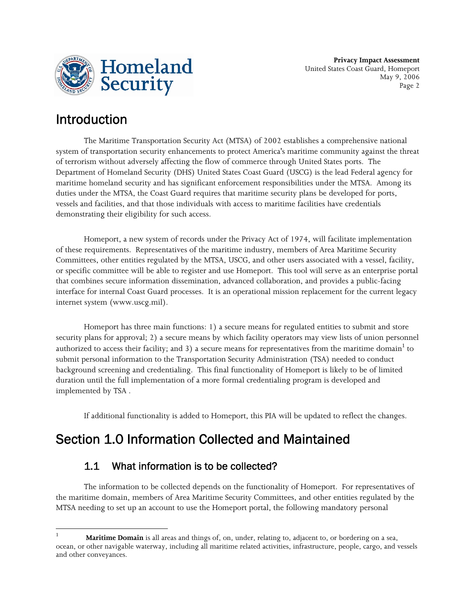

**Privacy Impact Assessment** United States Coast Guard, Homeport May 9, 2006 Page 2

# Introduction

The Maritime Transportation Security Act (MTSA) of 2002 establishes a comprehensive national system of transportation security enhancements to protect America's maritime community against the threat of terrorism without adversely affecting the flow of commerce through United States ports. The Department of Homeland Security (DHS) United States Coast Guard (USCG) is the lead Federal agency for maritime homeland security and has significant enforcement responsibilities under the MTSA. Among its duties under the MTSA, the Coast Guard requires that maritime security plans be developed for ports, vessels and facilities, and that those individuals with access to maritime facilities have credentials demonstrating their eligibility for such access.

Homeport, a new system of records under the Privacy Act of 1974, will facilitate implementation of these requirements. Representatives of the maritime industry, members of Area Maritime Security Committees, other entities regulated by the MTSA, USCG, and other users associated with a vessel, facility, or specific committee will be able to register and use Homeport. This tool will serve as an enterprise portal that combines secure information dissemination, advanced collaboration, and provides a public-facing interface for internal Coast Guard processes. It is an operational mission replacement for the current legacy internet system (www.uscg.mil).

Homeport has three main functions: 1) a secure means for regulated entities to submit and store security plans for approval; 2) a secure means by which facility operators may view lists of union personnel authorized to access their facility; and 3) a secure means for representatives from the maritime domain $^{\rm l}$  to submit personal information to the Transportation Security Administration (TSA) needed to conduct background screening and credentialing. This final functionality of Homeport is likely to be of limited duration until the full implementation of a more formal credentialing program is developed and implemented by TSA .

If additional functionality is added to Homeport, this PIA will be updated to reflect the changes.

# Section 1.0 Information Collected and Maintained

### 1.1 What information is to be collected?

<u> 1989 - Johann Barn, mars eta bainar eta industrial eta bainar eta baina eta baina eta baina eta baina eta ba</u>

The information to be collected depends on the functionality of Homeport. For representatives of the maritime domain, members of Area Maritime Security Committees, and other entities regulated by the MTSA needing to set up an account to use the Homeport portal, the following mandatory personal

<sup>1</sup> **Maritime Domain** is all areas and things of, on, under, relating to, adjacent to, or bordering on a sea, ocean, or other navigable waterway, including all maritime related activities, infrastructure, people, cargo, and vessels and other conveyances.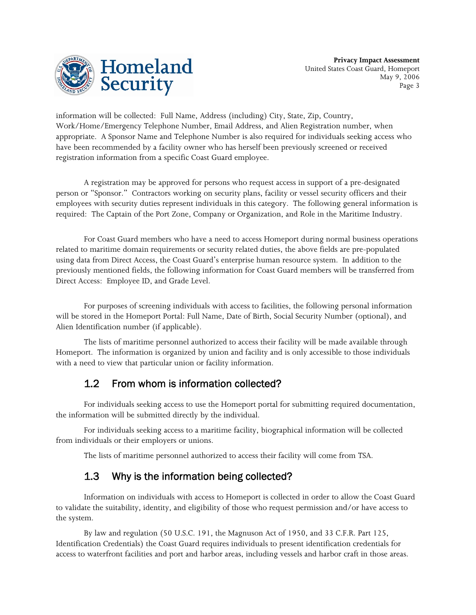

information will be collected: Full Name, Address (including) City, State, Zip, Country, Work/Home/Emergency Telephone Number, Email Address, and Alien Registration number, when appropriate. A Sponsor Name and Telephone Number is also required for individuals seeking access who have been recommended by a facility owner who has herself been previously screened or received registration information from a specific Coast Guard employee.

A registration may be approved for persons who request access in support of a pre-designated person or "Sponsor." Contractors working on security plans, facility or vessel security officers and their employees with security duties represent individuals in this category. The following general information is required: The Captain of the Port Zone, Company or Organization, and Role in the Maritime Industry.

For Coast Guard members who have a need to access Homeport during normal business operations related to maritime domain requirements or security related duties, the above fields are pre-populated using data from Direct Access, the Coast Guard's enterprise human resource system. In addition to the previously mentioned fields, the following information for Coast Guard members will be transferred from Direct Access: Employee ID, and Grade Level.

For purposes of screening individuals with access to facilities, the following personal information will be stored in the Homeport Portal: Full Name, Date of Birth, Social Security Number (optional), and Alien Identification number (if applicable).

The lists of maritime personnel authorized to access their facility will be made available through Homeport. The information is organized by union and facility and is only accessible to those individuals with a need to view that particular union or facility information.

### 1.2 From whom is information collected?

For individuals seeking access to use the Homeport portal for submitting required documentation, the information will be submitted directly by the individual.

For individuals seeking access to a maritime facility, biographical information will be collected from individuals or their employers or unions.

The lists of maritime personnel authorized to access their facility will come from TSA.

### 1.3 Why is the information being collected?

Information on individuals with access to Homeport is collected in order to allow the Coast Guard to validate the suitability, identity, and eligibility of those who request permission and/or have access to the system.

By law and regulation (50 U.S.C. 191, the Magnuson Act of 1950, and 33 C.F.R. Part 125, Identification Credentials) the Coast Guard requires individuals to present identification credentials for access to waterfront facilities and port and harbor areas, including vessels and harbor craft in those areas.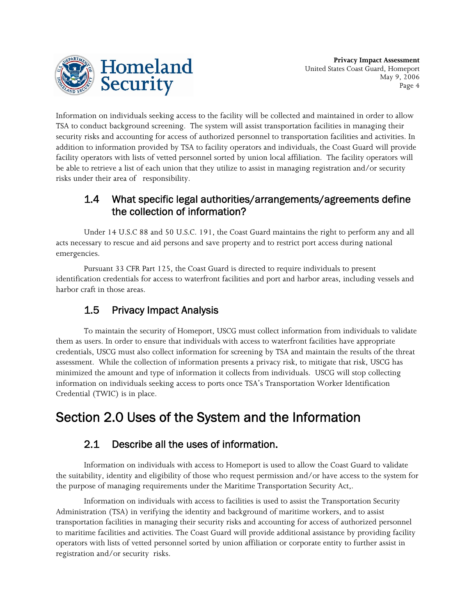

Information on individuals seeking access to the facility will be collected and maintained in order to allow TSA to conduct background screening. The system will assist transportation facilities in managing their security risks and accounting for access of authorized personnel to transportation facilities and activities. In addition to information provided by TSA to facility operators and individuals, the Coast Guard will provide facility operators with lists of vetted personnel sorted by union local affiliation. The facility operators will be able to retrieve a list of each union that they utilize to assist in managing registration and/or security risks under their area of responsibility.

#### 1.4 What specific legal authorities/arrangements/agreements define the collection of information?

Under 14 U.S.C 88 and 50 U.S.C. 191, the Coast Guard maintains the right to perform any and all acts necessary to rescue and aid persons and save property and to restrict port access during national emergencies.

Pursuant 33 CFR Part 125, the Coast Guard is directed to require individuals to present identification credentials for access to waterfront facilities and port and harbor areas, including vessels and harbor craft in those areas.

# 1.5 Privacy Impact Analysis

To maintain the security of Homeport, USCG must collect information from individuals to validate them as users. In order to ensure that individuals with access to waterfront facilities have appropriate credentials, USCG must also collect information for screening by TSA and maintain the results of the threat assessment. While the collection of information presents a privacy risk, to mitigate that risk, USCG has minimized the amount and type of information it collects from individuals. USCG will stop collecting information on individuals seeking access to ports once TSA's Transportation Worker Identification Credential (TWIC) is in place.

# Section 2.0 Uses of the System and the Information

### 2.1 Describe all the uses of information.

Information on individuals with access to Homeport is used to allow the Coast Guard to validate the suitability, identity and eligibility of those who request permission and/or have access to the system for the purpose of managing requirements under the Maritime Transportation Security Act,.

Information on individuals with access to facilities is used to assist the Transportation Security Administration (TSA) in verifying the identity and background of maritime workers, and to assist transportation facilities in managing their security risks and accounting for access of authorized personnel to maritime facilities and activities. The Coast Guard will provide additional assistance by providing facility operators with lists of vetted personnel sorted by union affiliation or corporate entity to further assist in registration and/or security risks.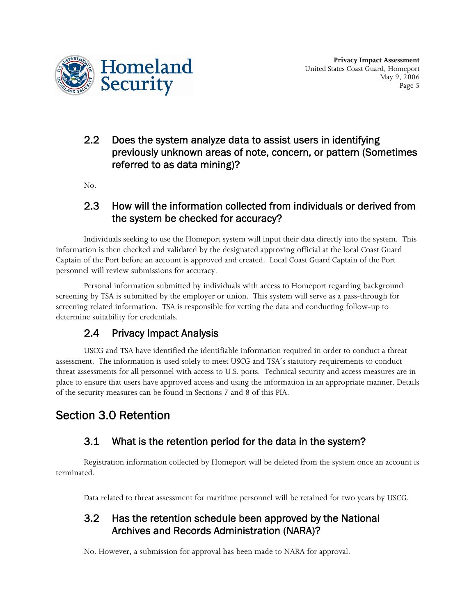

### 2.2 Does the system analyze data to assist users in identifying previously unknown areas of note, concern, or pattern (Sometimes referred to as data mining)?

No.

#### 2.3 How will the information collected from individuals or derived from the system be checked for accuracy?

Individuals seeking to use the Homeport system will input their data directly into the system. This information is then checked and validated by the designated approving official at the local Coast Guard Captain of the Port before an account is approved and created. Local Coast Guard Captain of the Port personnel will review submissions for accuracy.

Personal information submitted by individuals with access to Homeport regarding background screening by TSA is submitted by the employer or union. This system will serve as a pass-through for screening related information. TSA is responsible for vetting the data and conducting follow-up to determine suitability for credentials.

# 2.4 Privacy Impact Analysis

USCG and TSA have identified the identifiable information required in order to conduct a threat assessment. The information is used solely to meet USCG and TSA's statutory requirements to conduct threat assessments for all personnel with access to U.S. ports. Technical security and access measures are in place to ensure that users have approved access and using the information in an appropriate manner. Details of the security measures can be found in Sections 7 and 8 of this PIA.

# Section 3.0 Retention

# 3.1 What is the retention period for the data in the system?

Registration information collected by Homeport will be deleted from the system once an account is terminated.

Data related to threat assessment for maritime personnel will be retained for two years by USCG.

### 3.2 Has the retention schedule been approved by the National Archives and Records Administration (NARA)?

No. However, a submission for approval has been made to NARA for approval.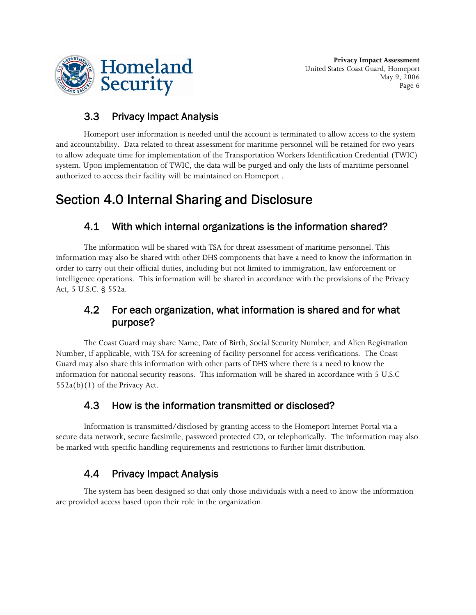

# 3.3 Privacy Impact Analysis

Homeport user information is needed until the account is terminated to allow access to the system and accountability. Data related to threat assessment for maritime personnel will be retained for two years to allow adequate time for implementation of the Transportation Workers Identification Credential (TWIC) system. Upon implementation of TWIC, the data will be purged and only the lists of maritime personnel authorized to access their facility will be maintained on Homeport .

# Section 4.0 Internal Sharing and Disclosure

### 4.1 With which internal organizations is the information shared?

The information will be shared with TSA for threat assessment of maritime personnel. This information may also be shared with other DHS components that have a need to know the information in order to carry out their official duties, including but not limited to immigration, law enforcement or intelligence operations. This information will be shared in accordance with the provisions of the Privacy Act, 5 U.S.C. § 552a.

### 4.2 For each organization, what information is shared and for what purpose?

The Coast Guard may share Name, Date of Birth, Social Security Number, and Alien Registration Number, if applicable, with TSA for screening of facility personnel for access verifications. The Coast Guard may also share this information with other parts of DHS where there is a need to know the information for national security reasons. This information will be shared in accordance with 5 U.S.C  $552a(b)(1)$  of the Privacy Act.

### 4.3 How is the information transmitted or disclosed?

Information is transmitted/disclosed by granting access to the Homeport Internet Portal via a secure data network, secure facsimile, password protected CD, or telephonically. The information may also be marked with specific handling requirements and restrictions to further limit distribution.

# 4.4 Privacy Impact Analysis

The system has been designed so that only those individuals with a need to know the information are provided access based upon their role in the organization.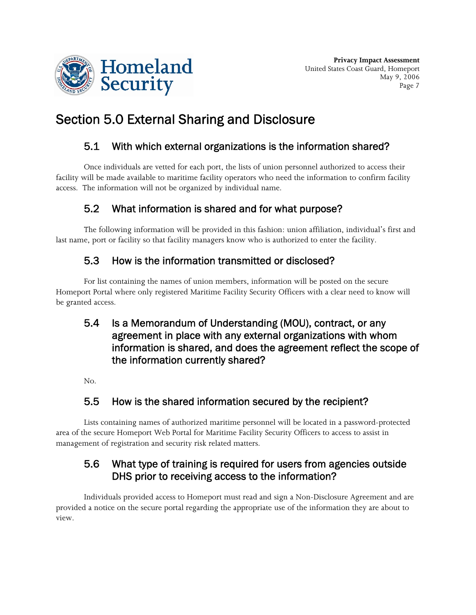

# Section 5.0 External Sharing and Disclosure

# 5.1 With which external organizations is the information shared?

Once individuals are vetted for each port, the lists of union personnel authorized to access their facility will be made available to maritime facility operators who need the information to confirm facility access. The information will not be organized by individual name.

# 5.2 What information is shared and for what purpose?

The following information will be provided in this fashion: union affiliation, individual's first and last name, port or facility so that facility managers know who is authorized to enter the facility.

### 5.3 How is the information transmitted or disclosed?

For list containing the names of union members, information will be posted on the secure Homeport Portal where only registered Maritime Facility Security Officers with a clear need to know will be granted access.

### 5.4 Is a Memorandum of Understanding (MOU), contract, or any agreement in place with any external organizations with whom information is shared, and does the agreement reflect the scope of the information currently shared?

No.

# 5.5 How is the shared information secured by the recipient?

Lists containing names of authorized maritime personnel will be located in a password-protected area of the secure Homeport Web Portal for Maritime Facility Security Officers to access to assist in management of registration and security risk related matters.

### 5.6 What type of training is required for users from agencies outside DHS prior to receiving access to the information?

Individuals provided access to Homeport must read and sign a Non-Disclosure Agreement and are provided a notice on the secure portal regarding the appropriate use of the information they are about to view.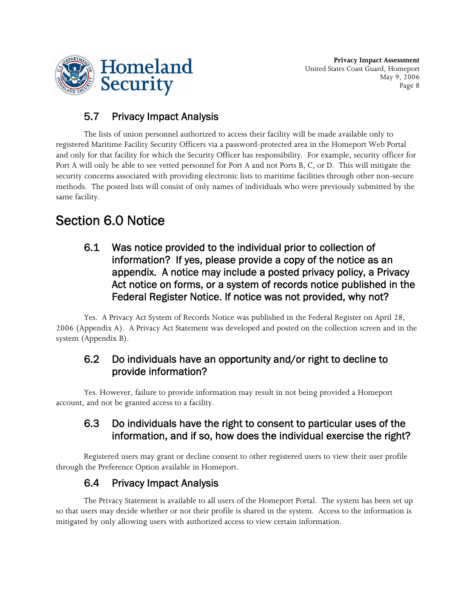

**Privacy Impact Assessment** United States Coast Guard, Homeport May 9, 2006 Page 8

# 5.7 Privacy Impact Analysis

The lists of union personnel authorized to access their facility will be made available only to registered Maritime Facility Security Officers via a password-protected area in the Homeport Web Portal and only for that facility for which the Security Officer has responsibility. For example, security officer for Port A will only be able to see vetted personnel for Port A and not Ports B, C, or D. This will mitigate the security concerns associated with providing electronic lists to maritime facilities through other non-secure methods. The posted lists will consist of only names of individuals who were previously submitted by the same facility.

# Section 6.0 Notice

6.1 Was notice provided to the individual prior to collection of information? If yes, please provide a copy of the notice as an appendix. A notice may include a posted privacy policy, a Privacy Act notice on forms, or a system of records notice published in the Federal Register Notice. If notice was not provided, why not?

Yes. A Privacy Act System of Records Notice was published in the Federal Register on April 28, 2006 (Appendix A). A Privacy Act Statement was developed and posted on the collection screen and in the system (Appendix B).

#### 6.2 Do individuals have an opportunity and/or right to decline to provide information?

Yes. However, failure to provide information may result in not being provided a Homeport account, and not be granted access to a facility.

#### 6.3 Do individuals have the right to consent to particular uses of the information, and if so, how does the individual exercise the right?

Registered users may grant or decline consent to other registered users to view their user profile through the Preference Option available in Homeport.

# 6.4 Privacy Impact Analysis

The Privacy Statement is available to all users of the Homeport Portal. The system has been set up so that users may decide whether or not their profile is shared in the system. Access to the information is mitigated by only allowing users with authorized access to view certain information.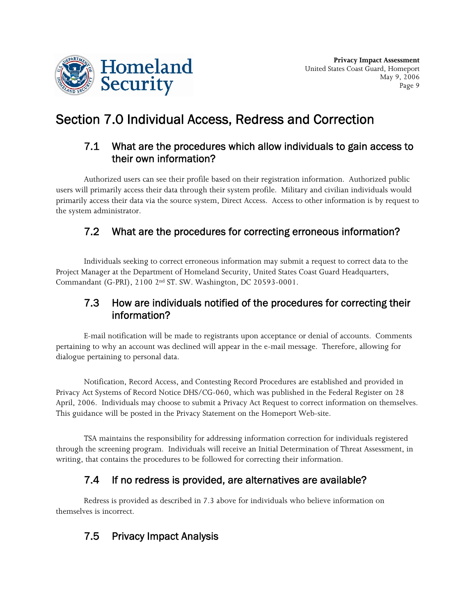

# Section 7.0 Individual Access, Redress and Correction

#### 7.1 What are the procedures which allow individuals to gain access to their own information?

Authorized users can see their profile based on their registration information. Authorized public users will primarily access their data through their system profile. Military and civilian individuals would primarily access their data via the source system, Direct Access. Access to other information is by request to the system administrator.

### 7.2 What are the procedures for correcting erroneous information?

Individuals seeking to correct erroneous information may submit a request to correct data to the Project Manager at the Department of Homeland Security, United States Coast Guard Headquarters, Commandant (G-PRI), 2100 2nd ST. SW. Washington, DC 20593-0001.

### 7.3 How are individuals notified of the procedures for correcting their information?

E-mail notification will be made to registrants upon acceptance or denial of accounts. Comments pertaining to why an account was declined will appear in the e-mail message. Therefore, allowing for dialogue pertaining to personal data.

Notification, Record Access, and Contesting Record Procedures are established and provided in Privacy Act Systems of Record Notice DHS/CG-060, which was published in the Federal Register on 28 April, 2006. Individuals may choose to submit a Privacy Act Request to correct information on themselves. This guidance will be posted in the Privacy Statement on the Homeport Web-site.

TSA maintains the responsibility for addressing information correction for individuals registered through the screening program. Individuals will receive an Initial Determination of Threat Assessment, in writing, that contains the procedures to be followed for correcting their information.

# 7.4 If no redress is provided, are alternatives are available?

Redress is provided as described in 7.3 above for individuals who believe information on themselves is incorrect.

# 7.5 Privacy Impact Analysis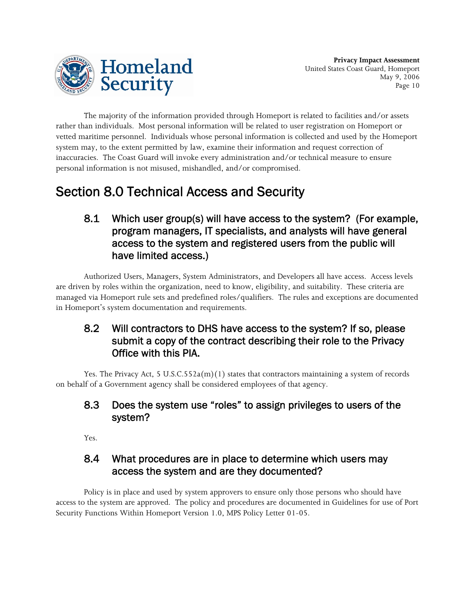

The majority of the information provided through Homeport is related to facilities and/or assets rather than individuals. Most personal information will be related to user registration on Homeport or vetted maritime personnel. Individuals whose personal information is collected and used by the Homeport system may, to the extent permitted by law, examine their information and request correction of inaccuracies. The Coast Guard will invoke every administration and/or technical measure to ensure personal information is not misused, mishandled, and/or compromised.

# Section 8.0 Technical Access and Security

8.1 Which user group(s) will have access to the system? (For example, program managers, IT specialists, and analysts will have general access to the system and registered users from the public will have limited access.)

Authorized Users, Managers, System Administrators, and Developers all have access. Access levels are driven by roles within the organization, need to know, eligibility, and suitability. These criteria are managed via Homeport rule sets and predefined roles/qualifiers. The rules and exceptions are documented in Homeport's system documentation and requirements.

### 8.2 Will contractors to DHS have access to the system? If so, please submit a copy of the contract describing their role to the Privacy Office with this PIA.

Yes. The Privacy Act, 5 U.S.C.552a(m)(1) states that contractors maintaining a system of records on behalf of a Government agency shall be considered employees of that agency.

#### 8.3 Does the system use "roles" to assign privileges to users of the system?

Yes.

### 8.4 What procedures are in place to determine which users may access the system and are they documented?

Policy is in place and used by system approvers to ensure only those persons who should have access to the system are approved. The policy and procedures are documented in Guidelines for use of Port Security Functions Within Homeport Version 1.0, MPS Policy Letter 01-05.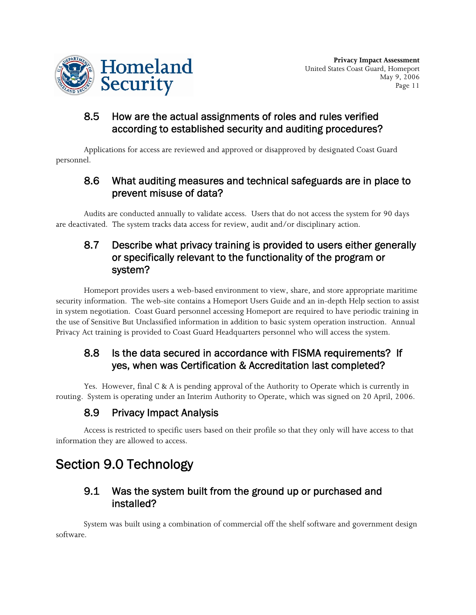

**Privacy Impact Assessment** United States Coast Guard, Homeport May 9, 2006 Page 11

#### 8.5 How are the actual assignments of roles and rules verified according to established security and auditing procedures?

Applications for access are reviewed and approved or disapproved by designated Coast Guard personnel.

#### 8.6 What auditing measures and technical safeguards are in place to prevent misuse of data?

Audits are conducted annually to validate access. Users that do not access the system for 90 days are deactivated. The system tracks data access for review, audit and/or disciplinary action.

### 8.7 Describe what privacy training is provided to users either generally or specifically relevant to the functionality of the program or system?

Homeport provides users a web-based environment to view, share, and store appropriate maritime security information. The web-site contains a Homeport Users Guide and an in-depth Help section to assist in system negotiation. Coast Guard personnel accessing Homeport are required to have periodic training in the use of Sensitive But Unclassified information in addition to basic system operation instruction. Annual Privacy Act training is provided to Coast Guard Headquarters personnel who will access the system.

### 8.8 Is the data secured in accordance with FISMA requirements? If yes, when was Certification & Accreditation last completed?

Yes. However, final C & A is pending approval of the Authority to Operate which is currently in routing. System is operating under an Interim Authority to Operate, which was signed on 20 April, 2006.

# 8.9 Privacy Impact Analysis

Access is restricted to specific users based on their profile so that they only will have access to that information they are allowed to access.

# Section 9.0 Technology

#### 9.1 Was the system built from the ground up or purchased and installed?

System was built using a combination of commercial off the shelf software and government design software.